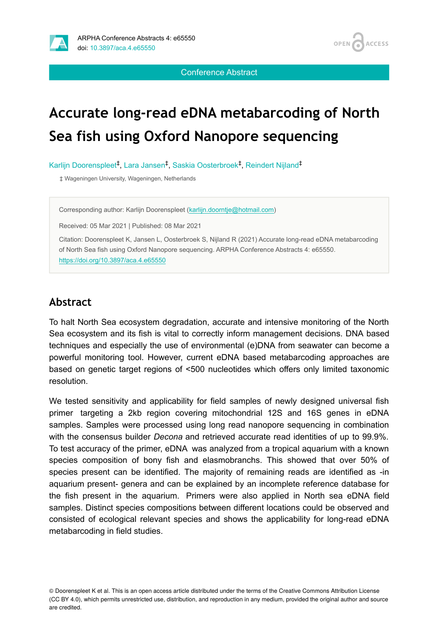

OPEN<sub>C</sub> **ACCESS** 

Conference Abstract

# **Accurate long-read eDNA metabarcoding of North Sea fish using Oxford Nanopore sequencing**

Karlijn Doorenspleet<sup>‡</sup>, Lara Jansen<sup>‡</sup>, Saskia Oosterbroek<sup>‡</sup>, Reindert Nijland<sup>‡</sup>

‡ Wageningen University, Wageningen, Netherlands

Corresponding author: Karlijn Doorenspleet ([karlijn.doorntje@hotmail.com](mailto:karlijn.doorntje@hotmail.com))

Received: 05 Mar 2021 | Published: 08 Mar 2021

Citation: Doorenspleet K, Jansen L, Oosterbroek S, Nijland R (2021) Accurate long-read eDNA metabarcoding of North Sea fish using Oxford Nanopore sequencing. ARPHA Conference Abstracts 4: e65550. <https://doi.org/10.3897/aca.4.e65550>

### **Abstract**

To halt North Sea ecosystem degradation, accurate and intensive monitoring of the North Sea ecosystem and its fish is vital to correctly inform management decisions. DNA based techniques and especially the use of environmental (e)DNA from seawater can become a powerful monitoring tool. However, current eDNA based metabarcoding approaches are based on genetic target regions of <500 nucleotides which offers only limited taxonomic resolution.

We tested sensitivity and applicability for field samples of newly designed universal fish primer targeting a 2kb region covering mitochondrial 12S and 16S genes in eDNA samples. Samples were processed using long read nanopore sequencing in combination with the consensus builder *Decona* and retrieved accurate read identities of up to 99.9%. To test accuracy of the primer, eDNA was analyzed from a tropical aquarium with a known species composition of bony fish and elasmobranchs. This showed that over 50% of species present can be identified. The majority of remaining reads are identified as -in aquarium present- genera and can be explained by an incomplete reference database for the fish present in the aquarium. Primers were also applied in North sea eDNA field samples. Distinct species compositions between different locations could be observed and consisted of ecological relevant species and shows the applicability for long-read eDNA metabarcoding in field studies.

© Doorenspleet K et al. This is an open access article distributed under the terms of the Creative Commons Attribution License (CC BY 4.0), which permits unrestricted use, distribution, and reproduction in any medium, provided the original author and source are credited.